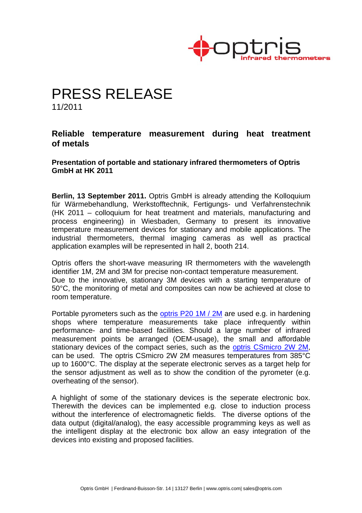

## PRESS RELEASE 11/2011

## **Reliable temperature measurement during heat treatment of metals**

**Presentation of portable and stationary infrared thermometers of Optris GmbH at HK 2011** 

**Berlin, 13 September 2011.** Optris GmbH is already attending the Kolloquium für Wärmebehandlung, Werkstofftechnik, Fertigungs- und Verfahrenstechnik (HK 2011 – colloquium for heat treatment and materials, manufacturing and process engineering) in Wiesbaden, Germany to present its innovative temperature measurement devices for stationary and mobile applications. The industrial thermometers, thermal imaging cameras as well as practical application examples will be represented in hall 2, booth 214.

Optris offers the short-wave measuring IR thermometers with the wavelength identifier 1M, 2M and 3M for precise non-contact temperature measurement. Due to the innovative, stationary 3M devices with a starting temperature of 50°C, the monitoring of metal and composites can now be achieved at close to room temperature.

Portable pyrometers such as the optris P20 1M / 2M are used e.g. in hardening shops where temperature measurements take place infrequently within performance- and time-based facilities. Should a large number of infrared measurement points be arranged (OEM-usage), the small and affordable stationary devices of the compact series, such as the optris CSmicro 2W 2M, can be used. The optris CSmicro 2W 2M measures temperatures from 385°C up to 1600°C. The display at the seperate electronic serves as a target help for the sensor adjustment as well as to show the condition of the pyrometer (e.g. overheating of the sensor).

A highlight of some of the stationary devices is the seperate electronic box. Therewith the devices can be implemented e.g. close to induction process without the interference of electromagnetic fields. The diverse options of the data output (digital/analog), the easy accessible programming keys as well as the intelligent display at the electronic box allow an easy integration of the devices into existing and proposed facilities.